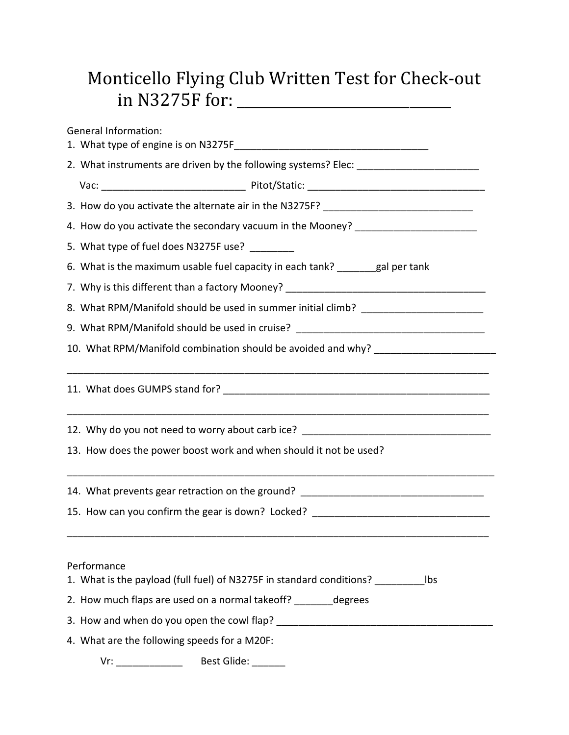## Monticello Flying Club Written Test for Check-out in N3275F for: \_\_\_\_\_\_\_\_\_\_\_\_\_\_\_\_\_\_\_\_\_\_\_\_\_\_\_\_\_\_\_

General Information: 1. What type of engine is on N3275F 2. What instruments are driven by the following systems? Elec: Vac: \_\_\_\_\_\_\_\_\_\_\_\_\_\_\_\_\_\_\_\_\_\_\_\_\_\_ Pitot/Static: \_\_\_\_\_\_\_\_\_\_\_\_\_\_\_\_\_\_\_\_\_\_\_\_\_\_\_\_\_\_\_\_ 3. How do you activate the alternate air in the N3275F? \_\_\_\_\_\_\_\_\_\_\_\_\_\_\_\_\_\_\_\_\_\_\_\_\_ 4. How do you activate the secondary vacuum in the Mooney? \_\_\_\_\_\_\_\_\_\_\_\_\_\_\_\_\_\_\_\_\_ 5. What type of fuel does N3275F use? 6. What is the maximum usable fuel capacity in each tank? \_\_\_\_\_\_\_gal per tank 7. Why is this different than a factory Mooney? \_\_\_\_\_\_\_\_\_\_\_\_\_\_\_\_\_\_\_\_\_\_\_\_\_\_\_\_\_\_\_\_\_ 8. What RPM/Manifold should be used in summer initial climb? \_\_\_\_\_\_\_\_\_\_\_\_\_\_\_\_\_\_\_ 9. What RPM/Manifold should be used in cruise? 10. What RPM/Manifold combination should be avoided and why? \_\_\_\_\_\_\_\_\_\_\_\_\_\_\_\_\_\_\_\_\_\_\_\_\_\_\_\_\_\_\_\_\_\_\_\_\_\_\_\_\_\_\_\_\_\_\_\_\_\_\_\_\_\_\_\_\_\_\_\_\_\_\_\_\_\_\_\_\_\_\_\_\_\_\_\_ 11. What does GUMPS stand for? \_\_\_\_\_\_\_\_\_\_\_\_\_\_\_\_\_\_\_\_\_\_\_\_\_\_\_\_\_\_\_\_\_\_\_\_\_\_\_\_\_\_\_\_\_\_\_\_\_\_\_\_\_\_\_\_\_\_\_\_\_\_\_\_\_\_\_\_\_\_\_\_\_\_\_\_ 12. Why do you not need to worry about carb ice? \_\_\_\_\_\_\_\_\_\_\_\_\_\_\_\_\_\_\_\_\_\_\_\_\_\_\_\_\_\_\_ 13. How does the power boost work and when should it not be used? \_\_\_\_\_\_\_\_\_\_\_\_\_\_\_\_\_\_\_\_\_\_\_\_\_\_\_\_\_\_\_\_\_\_\_\_\_\_\_\_\_\_\_\_\_\_\_\_\_\_\_\_\_\_\_\_\_\_\_\_\_\_\_\_\_\_\_\_\_\_\_\_\_\_\_\_\_ 14. What prevents gear retraction on the ground? \_\_\_\_\_\_\_\_\_\_\_\_\_\_\_\_\_\_\_\_\_\_\_\_\_\_\_\_\_\_\_ 15. How can you confirm the gear is down? Locked? \_\_\_\_\_\_\_\_\_\_\_\_\_\_\_\_\_\_\_\_\_\_\_\_\_\_\_\_\_\_ \_\_\_\_\_\_\_\_\_\_\_\_\_\_\_\_\_\_\_\_\_\_\_\_\_\_\_\_\_\_\_\_\_\_\_\_\_\_\_\_\_\_\_\_\_\_\_\_\_\_\_\_\_\_\_\_\_\_\_\_\_\_\_\_\_\_\_\_\_\_\_\_\_\_\_\_ Performance 1. What is the payload (full fuel) of N3275F in standard conditions? \_\_\_\_\_\_\_\_\_lbs 2. How much flaps are used on a normal takeoff? degrees 3. How and when do you open the cowl flap? \_\_\_\_\_\_\_\_\_\_\_\_\_\_\_\_\_\_\_\_\_\_\_\_\_\_\_\_\_\_\_\_\_\_\_\_\_\_\_ 4. What are the following speeds for a M20F:

Vr: \_\_\_\_\_\_\_\_\_\_\_\_\_\_\_\_\_ Best Glide: \_\_\_\_\_\_\_